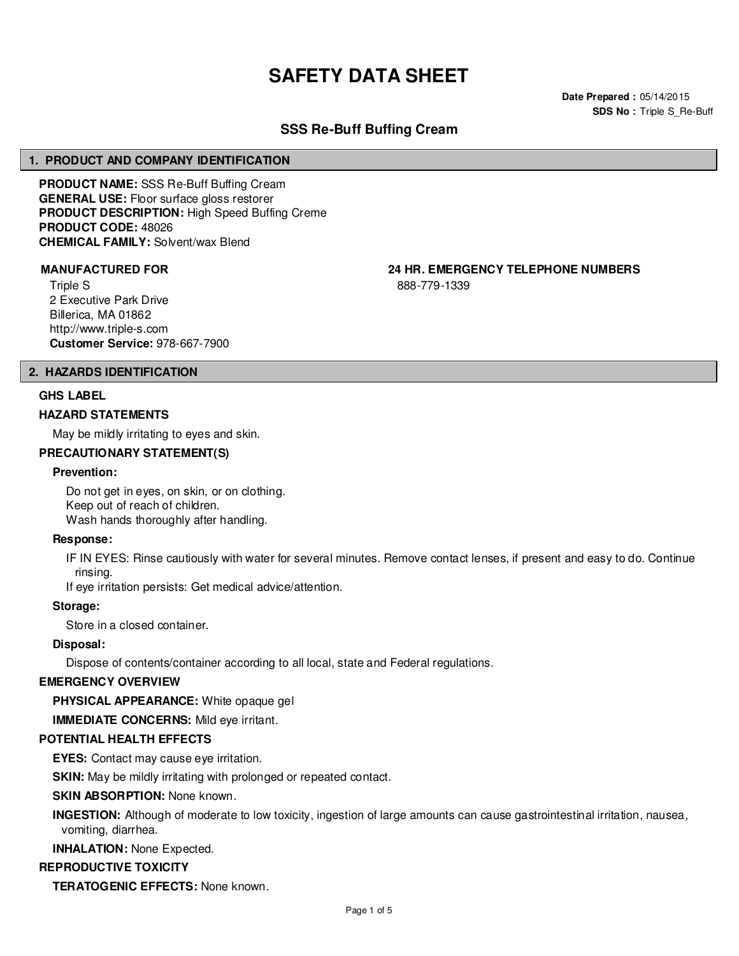# **SAFETY DATA SHEET**

**Date Prepared :** 05/14/2015 **SDS No : Triple S Re-Buff** 

# **SSS Re-Buff Buffing Cream**

#### **1. PRODUCT AND COMPANY IDENTIFICATION**

**PRODUCT NAME:** SSS Re-Buff Buffing Cream **GENERAL USE:** Floor surface gloss restorer **PRODUCT DESCRIPTION:** High Speed Buffing Creme **PRODUCT CODE:** 48026 **CHEMICAL FAMILY:** Solvent/wax Blend

Triple S 2 Executive Park Drive Billerica, MA 01862 http://www.triple-s.com **Customer Service:** 978-667-7900

**MANUFACTURED FOR 24 HR. EMERGENCY TELEPHONE NUMBERS**

888-779-1339

#### **2. HAZARDS IDENTIFICATION**

#### **GHS LABEL**

#### **HAZARD STATEMENTS**

May be mildly irritating to eyes and skin.

# **PRECAUTIONARY STATEMENT(S)**

#### **Prevention:**

Do not get in eyes, on skin, or on clothing. Keep out of reach of children. Wash hands thoroughly after handling.

#### **Response:**

IF IN EYES: Rinse cautiously with water for several minutes. Remove contact lenses, if present and easy to do. Continue rinsing.

If eye irritation persists: Get medical advice/attention.

#### **Storage:**

Store in a closed container.

#### **Disposal:**

Dispose of contents/container according to all local, state and Federal regulations.

#### **EMERGENCY OVERVIEW**

**PHYSICAL APPEARANCE:** White opaque gel

**IMMEDIATE CONCERNS:** Mild eye irritant.

#### **POTENTIAL HEALTH EFFECTS**

**EYES:** Contact may cause eye irritation.

**SKIN:** May be mildly irritating with prolonged or repeated contact.

#### **SKIN ABSORPTION:** None known.

**INGESTION:** Although of moderate to low toxicity, ingestion of large amounts can cause gastrointestinal irritation, nausea, vomiting, diarrhea.

**INHALATION:** None Expected.

#### **REPRODUCTIVE TOXICITY**

**TERATOGENIC EFFECTS:** None known.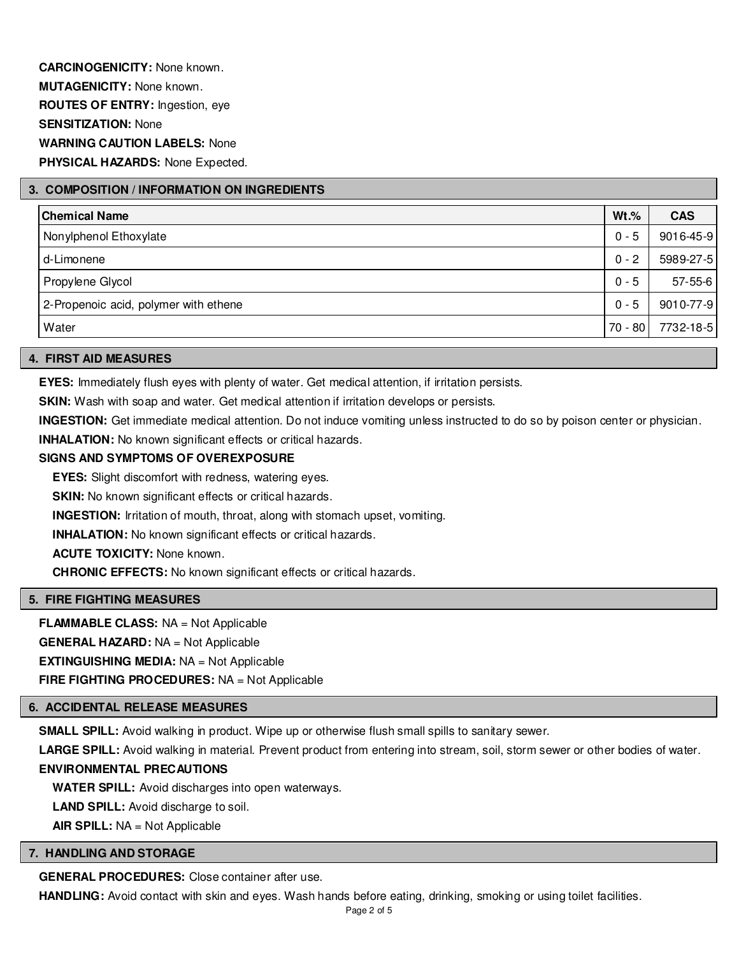**CARCINOGENICITY:** None known. **MUTAGENICITY:** None known. **ROUTES OF ENTRY:** Ingestion, eye **SENSITIZATION:** None **WARNING CAUTION LABELS:** None **PHYSICAL HAZARDS:** None Expected.

# **3. COMPOSITION / INFORMATION ON INGREDIENTS**

| Chemical Name                         | $Wt.\%$   | <b>CAS</b>    |
|---------------------------------------|-----------|---------------|
| Nonylphenol Ethoxylate                | $0 - 5$   | 9016-45-9     |
| d-Limonene                            | $0 - 2$   | 5989-27-5     |
| Propylene Glycol                      | $0 - 5$   | $57 - 55 - 6$ |
| 2-Propenoic acid, polymer with ethene | $0 - 5$   | 9010-77-9     |
| Water                                 | $70 - 80$ | 7732-18-5     |

#### **4. FIRST AID MEASURES**

**EYES:** Immediately flush eyes with plenty of water. Get medical attention, if irritation persists.

**SKIN:** Wash with soap and water. Get medical attention if irritation develops or persists.

**INGESTION:** Get immediate medical attention. Do not induce vomiting unless instructed to do so by poison center or physician.

**INHALATION:** No known significant effects or critical hazards.

# **SIGNS AND SYMPTOMS OF OVEREXPOSURE**

**EYES:** Slight discomfort with redness, watering eyes.

**SKIN:** No known significant effects or critical hazards.

**INGESTION:** Irritation of mouth, throat, along with stomach upset, vomiting.

**INHALATION:** No known significant effects or critical hazards.

**ACUTE TOXICITY:** None known.

**CHRONIC EFFECTS:** No known significant effects or critical hazards.

# **5. FIRE FIGHTING MEASURES**

**FLAMMABLE CLASS:** NA = Not Applicable **GENERAL HAZARD:** NA = Not Applicable **EXTINGUISHING MEDIA:** NA = Not Applicable **FIRE FIGHTING PROCEDURES:** NA = Not Applicable

#### **6. ACCIDENTAL RELEASE MEASURES**

**SMALL SPILL:** Avoid walking in product. Wipe up or otherwise flush small spills to sanitary sewer.

**LARGE SPILL:** Avoid walking in material. Prevent product from entering into stream, soil, storm sewer or other bodies of water.

#### **ENVIRONMENTAL PRECAUTIONS**

**WATER SPILL:** Avoid discharges into open waterways.

**LAND SPILL:** Avoid discharge to soil.

**AIR SPILL:** NA = Not Applicable

# **7. HANDLING AND STORAGE**

**GENERAL PROCEDURES:** Close container after use.

**HANDLING:** Avoid contact with skin and eyes. Wash hands before eating, drinking, smoking or using toilet facilities.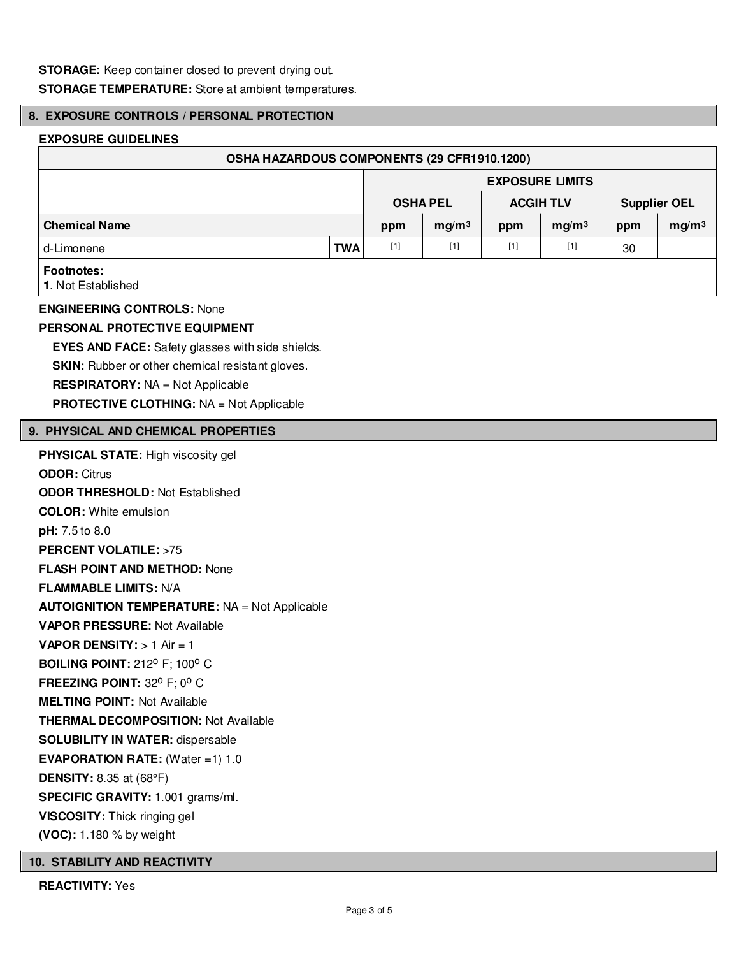**STORAGE:** Keep container closed to prevent drying out.

**STORAGE TEMPERATURE:** Store at ambient temperatures.

# **8. EXPOSURE CONTROLS / PERSONAL PROTECTION**

## **EXPOSURE GUIDELINES**

| OSHA HAZARDOUS COMPONENTS (29 CFR1910.1200) |            |                        |                   |                  |                   |                     |                   |
|---------------------------------------------|------------|------------------------|-------------------|------------------|-------------------|---------------------|-------------------|
|                                             |            | <b>EXPOSURE LIMITS</b> |                   |                  |                   |                     |                   |
|                                             |            | <b>OSHA PEL</b>        |                   | <b>ACGIH TLV</b> |                   | <b>Supplier OEL</b> |                   |
| <b>Chemical Name</b>                        |            | ppm                    | mg/m <sup>3</sup> | ppm              | mg/m <sup>3</sup> | ppm                 | mg/m <sup>3</sup> |
| d-Limonene                                  | <b>TWA</b> | $[1]$                  | $[1]$             | $[1]$            | [1]               | 30                  |                   |
| <b>Footnotes:</b><br>1. Not Established     |            |                        |                   |                  |                   |                     |                   |

# **ENGINEERING CONTROLS:** None

# **PERSONAL PROTECTIVE EQUIPMENT**

**EYES AND FACE:** Safety glasses with side shields. **SKIN:** Rubber or other chemical resistant gloves. **RESPIRATORY:** NA = Not Applicable

**PROTECTIVE CLOTHING:** NA = Not Applicable

# **9. PHYSICAL AND CHEMICAL PROPERTIES**

**PHYSICAL STATE:** High viscosity gel

**ODOR:** Citrus **ODOR THRESHOLD:** Not Established **COLOR:** White emulsion **pH:** 7.5 to 8.0 **PERCENT VOLATILE:** >75 **FLASH POINT AND METHOD:** None **FLAMMABLE LIMITS:** N/A **AUTOIGNITION TEMPERATURE:** NA = Not Applicable **VAPOR PRESSURE:** Not Available **VAPOR DENSITY:** > 1 Air = 1 **BOILING POINT: 212° F; 100° C FREEZING POINT: 32° F; 0° C MELTING POINT:** Not Available **THERMAL DECOMPOSITION:** Not Available **SOLUBILITY IN WATER:** dispersable **EVAPORATION RATE:** (Water =1) 1.0 **DENSITY:** 8.35 at (68°F) **SPECIFIC GRAVITY:** 1.001 grams/ml. **VISCOSITY:** Thick ringing gel **(VOC):** 1.180 % by weight

#### **10. STABILITY AND REACTIVITY**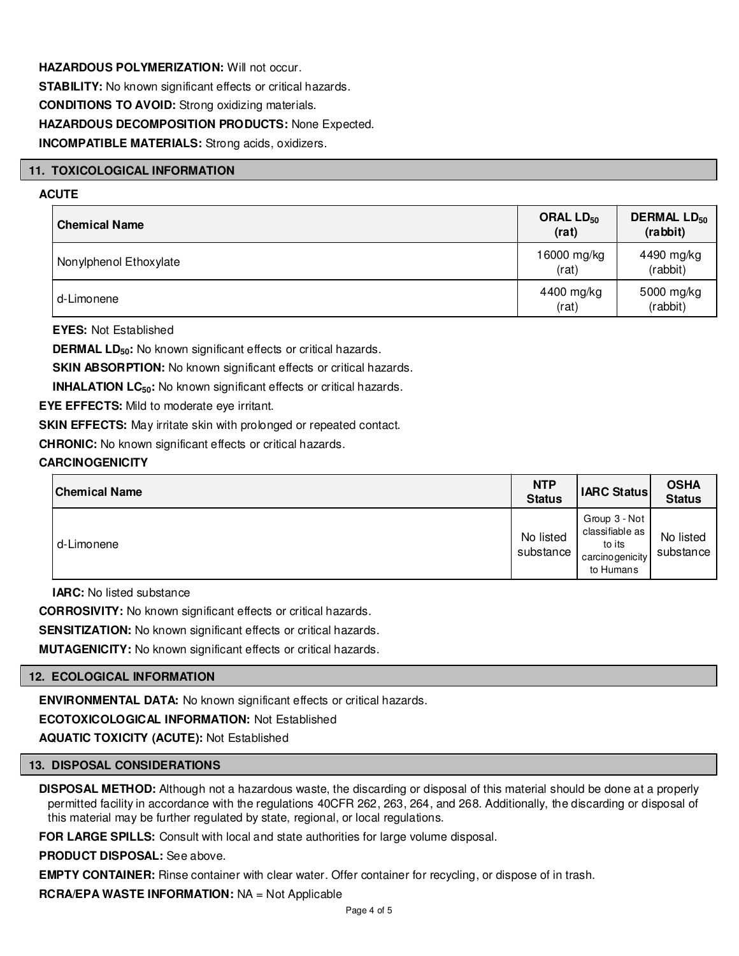**HAZARDOUS POLYMERIZATION:** Will not occur. **STABILITY:** No known significant effects or critical hazards. **CONDITIONS TO AVOID:** Strong oxidizing materials. **HAZARDOUS DECOMPOSITION PRODUCTS:** None Expected. **INCOMPATIBLE MATERIALS:** Strong acids, oxidizers.

# **11. TOXICOLOGICAL INFORMATION**

# **ACUTE**

| <b>Chemical Name</b>   | ORAL LD <sub>50</sub><br>(rat) | <b>DERMAL LD<sub>50</sub></b><br>(rabbit) |
|------------------------|--------------------------------|-------------------------------------------|
| Nonylphenol Ethoxylate | 16000 mg/kg<br>(rat)           | 4490 mg/kg<br>(rabbit)                    |
| d-Limonene             | 4400 mg/kg<br>(rat)            | 5000 mg/kg<br>(rabbit)                    |

**EYES:** Not Established

**DERMAL LD**<sub>50</sub>: No known significant effects or critical hazards.

**SKIN ABSORPTION:** No known significant effects or critical hazards.

**INHALATION LC<sub>50</sub>:** No known significant effects or critical hazards.

**EYE EFFECTS:** Mild to moderate eye irritant.

**SKIN EFFECTS:** May irritate skin with prolonged or repeated contact.

**CHRONIC:** No known significant effects or critical hazards.

# **CARCINOGENICITY**

| <b>Chemical Name</b> | <b>NTP</b><br><b>Status</b> | <b>IARC Status</b>                                                          | <b>OSHA</b><br><b>Status</b> |
|----------------------|-----------------------------|-----------------------------------------------------------------------------|------------------------------|
| d-Limonene           | No listed<br>substance      | Group 3 - Not<br>classifiable as<br>to its<br>carcino genicity<br>to Humans | No listed<br>substance       |

**IARC:** No listed substance

**CORROSIVITY:** No known significant effects or critical hazards.

**SENSITIZATION:** No known significant effects or critical hazards.

**MUTAGENICITY:** No known significant effects or critical hazards.

#### **12. ECOLOGICAL INFORMATION**

**ENVIRONMENTAL DATA:** No known significant effects or critical hazards.

**ECOTOXICOLOGICAL INFORMATION:** Not Established

**AQUATIC TOXICITY (ACUTE):** Not Established

#### **13. DISPOSAL CONSIDERATIONS**

**DISPOSAL METHOD:** Although not a hazardous waste, the discarding or disposal of this material should be done at a properly permitted facility in accordance with the regulations 40CFR 262, 263, 264, and 268. Additionally, the discarding or disposal of this material may be further regulated by state, regional, or local regulations.

**FOR LARGE SPILLS:** Consult with local and state authorities for large volume disposal.

**PRODUCT DISPOSAL:** See above.

**EMPTY CONTAINER:** Rinse container with clear water. Offer container for recycling, or dispose of in trash.

**RCRA/EPA WASTE INFORMATION:** NA = Not Applicable